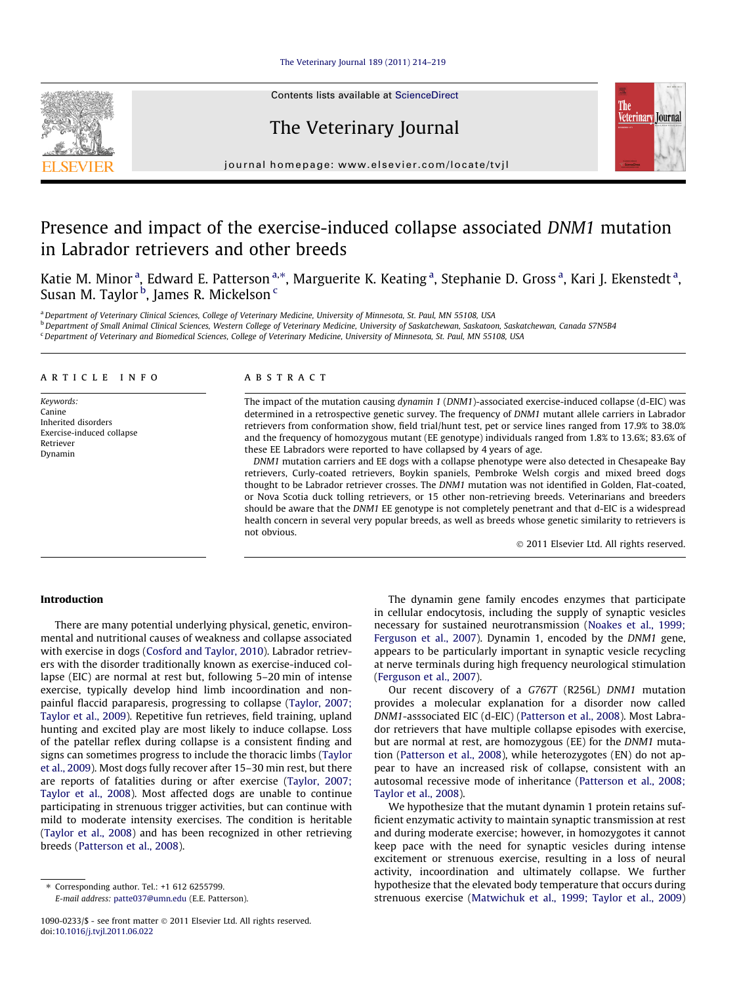# [The Veterinary Journal 189 \(2011\) 214–219](http://dx.doi.org/10.1016/j.tvjl.2011.06.022)

Contents lists available at [ScienceDirect](http://www.sciencedirect.com/science/journal/10900233)

# The Veterinary Journal



journal homepage: [www.elsevier.com/locate/tvjl](http://www.elsevier.com/locate/tvjl)

# Presence and impact of the exercise-induced collapse associated DNM1 mutation in Labrador retrievers and other breeds

Katie M. Minor<sup>a</sup>, Edward E. Patterson<sup>a,</sup>\*, Marguerite K. Keating<sup>a</sup>, Stephanie D. Gross<sup>a</sup>, Kari J. Ekenstedt<sup>a</sup>, Susan M. Taylor <sup>b</sup>, James R. Mickelson <sup>c</sup>

a Department of Veterinary Clinical Sciences, College of Veterinary Medicine, University of Minnesota, St. Paul, MN 55108, USA

<sup>b</sup> Department of Small Animal Clinical Sciences, Western College of Veterinary Medicine, University of Saskatchewan, Saskatchewan, Saskatchewan, Canada S7N5B4

<sup>c</sup> Department of Veterinary and Biomedical Sciences, College of Veterinary Medicine, University of Minnesota, St. Paul, MN 55108, USA

# article info

Keywords: Canine Inherited disorders Exercise-induced collapse Retriever Dynamin

# ABSTRACT

The impact of the mutation causing dynamin 1 (DNM1)-associated exercise-induced collapse (d-EIC) was determined in a retrospective genetic survey. The frequency of DNM1 mutant allele carriers in Labrador retrievers from conformation show, field trial/hunt test, pet or service lines ranged from 17.9% to 38.0% and the frequency of homozygous mutant (EE genotype) individuals ranged from 1.8% to 13.6%; 83.6% of these EE Labradors were reported to have collapsed by 4 years of age.

DNM1 mutation carriers and EE dogs with a collapse phenotype were also detected in Chesapeake Bay retrievers, Curly-coated retrievers, Boykin spaniels, Pembroke Welsh corgis and mixed breed dogs thought to be Labrador retriever crosses. The DNM1 mutation was not identified in Golden, Flat-coated, or Nova Scotia duck tolling retrievers, or 15 other non-retrieving breeds. Veterinarians and breeders should be aware that the DNM1 EE genotype is not completely penetrant and that d-EIC is a widespread health concern in several very popular breeds, as well as breeds whose genetic similarity to retrievers is not obvious.

- 2011 Elsevier Ltd. All rights reserved.

# Introduction

There are many potential underlying physical, genetic, environmental and nutritional causes of weakness and collapse associated with exercise in dogs [\(Cosford and Taylor, 2010](#page-4-0)). Labrador retrievers with the disorder traditionally known as exercise-induced collapse (EIC) are normal at rest but, following 5–20 min of intense exercise, typically develop hind limb incoordination and nonpainful flaccid paraparesis, progressing to collapse [\(Taylor, 2007;](#page-5-0) [Taylor et al., 2009\)](#page-5-0). Repetitive fun retrieves, field training, upland hunting and excited play are most likely to induce collapse. Loss of the patellar reflex during collapse is a consistent finding and signs can sometimes progress to include the thoracic limbs [\(Taylor](#page-5-0) [et al., 2009](#page-5-0)). Most dogs fully recover after 15–30 min rest, but there are reports of fatalities during or after exercise ([Taylor, 2007;](#page-5-0) [Taylor et al., 2008](#page-5-0)). Most affected dogs are unable to continue participating in strenuous trigger activities, but can continue with mild to moderate intensity exercises. The condition is heritable ([Taylor et al., 2008](#page-5-0)) and has been recognized in other retrieving breeds [\(Patterson et al., 2008\)](#page-5-0).

The dynamin gene family encodes enzymes that participate in cellular endocytosis, including the supply of synaptic vesicles necessary for sustained neurotransmission [\(Noakes et al., 1999;](#page-5-0) [Ferguson et al., 2007](#page-5-0)). Dynamin 1, encoded by the DNM1 gene, appears to be particularly important in synaptic vesicle recycling at nerve terminals during high frequency neurological stimulation ([Ferguson et al., 2007\)](#page-4-0).

Our recent discovery of a G767T (R256L) DNM1 mutation provides a molecular explanation for a disorder now called DNM1-asssociated EIC (d-EIC) ([Patterson et al., 2008\)](#page-5-0). Most Labrador retrievers that have multiple collapse episodes with exercise, but are normal at rest, are homozygous (EE) for the DNM1 mutation ([Patterson et al., 2008](#page-5-0)), while heterozygotes (EN) do not appear to have an increased risk of collapse, consistent with an autosomal recessive mode of inheritance ([Patterson et al., 2008;](#page-5-0) [Taylor et al., 2008](#page-5-0)).

We hypothesize that the mutant dynamin 1 protein retains sufficient enzymatic activity to maintain synaptic transmission at rest and during moderate exercise; however, in homozygotes it cannot keep pace with the need for synaptic vesicles during intense excitement or strenuous exercise, resulting in a loss of neural activity, incoordination and ultimately collapse. We further hypothesize that the elevated body temperature that occurs during strenuous exercise [\(Matwichuk et al., 1999; Taylor et al., 2009\)](#page-4-0)



<sup>⇑</sup> Corresponding author. Tel.: +1 612 6255799. E-mail address: [patte037@umn.edu](mailto:patte037@umn.edu) (E.E. Patterson).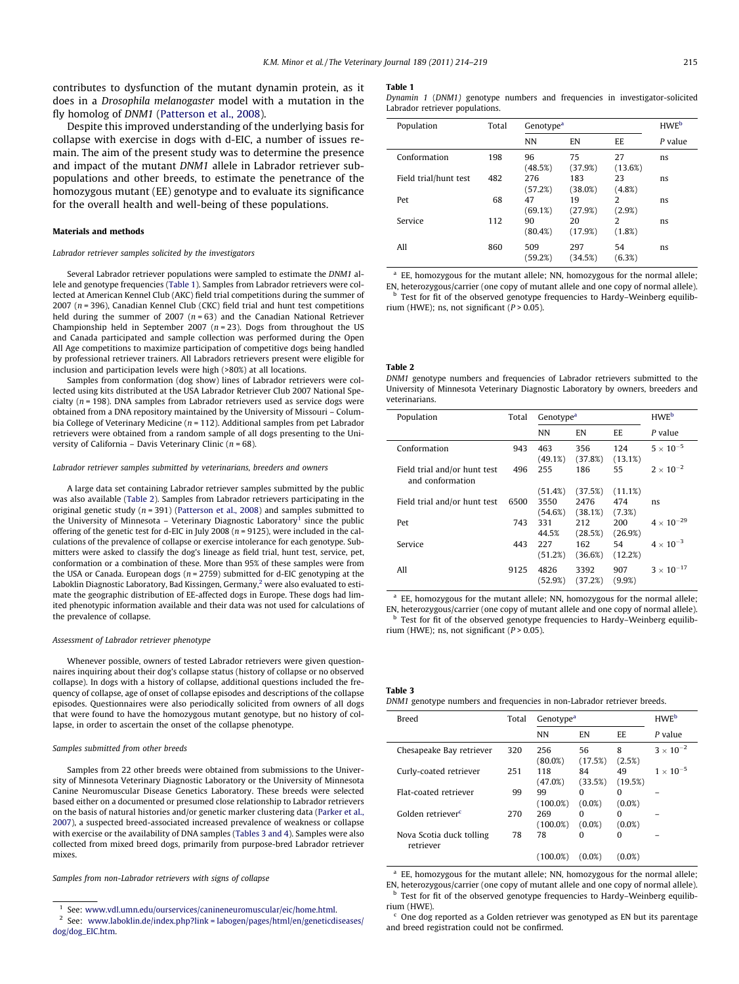<span id="page-1-0"></span>contributes to dysfunction of the mutant dynamin protein, as it does in a Drosophila melanogaster model with a mutation in the fly homolog of DNM1 [\(Patterson et al., 2008\)](#page-5-0).

Despite this improved understanding of the underlying basis for collapse with exercise in dogs with d-EIC, a number of issues remain. The aim of the present study was to determine the presence and impact of the mutant DNM1 allele in Labrador retriever subpopulations and other breeds, to estimate the penetrance of the homozygous mutant (EE) genotype and to evaluate its significance for the overall health and well-being of these populations.

#### Materials and methods

### Labrador retriever samples solicited by the investigators

Several Labrador retriever populations were sampled to estimate the DNM1 allele and genotype frequencies (Table 1). Samples from Labrador retrievers were collected at American Kennel Club (AKC) field trial competitions during the summer of 2007 ( $n = 396$ ), Canadian Kennel Club (CKC) field trial and hunt test competitions held during the summer of 2007 ( $n = 63$ ) and the Canadian National Retriever Championship held in September 2007 ( $n = 23$ ). Dogs from throughout the US and Canada participated and sample collection was performed during the Open All Age competitions to maximize participation of competitive dogs being handled by professional retriever trainers. All Labradors retrievers present were eligible for inclusion and participation levels were high (>80%) at all locations.

Samples from conformation (dog show) lines of Labrador retrievers were collected using kits distributed at the USA Labrador Retriever Club 2007 National Specialty  $(n = 198)$ . DNA samples from Labrador retrievers used as service dogs were obtained from a DNA repository maintained by the University of Missouri – Columbia College of Veterinary Medicine ( $n = 112$ ). Additional samples from pet Labrador retrievers were obtained from a random sample of all dogs presenting to the University of California – Davis Veterinary Clinic ( $n = 68$ ).

#### Labrador retriever samples submitted by veterinarians, breeders and owners

A large data set containing Labrador retriever samples submitted by the public was also available (Table 2). Samples from Labrador retrievers participating in the original genetic study ( $n = 391$ ) [\(Patterson et al., 2008\)](#page-5-0) and samples submitted to the University of Minnesota - Veterinary Diagnostic Laboratory<sup>1</sup> since the public offering of the genetic test for d-EIC in July 2008 ( $n = 9125$ ), were included in the calculations of the prevalence of collapse or exercise intolerance for each genotype. Submitters were asked to classify the dog's lineage as field trial, hunt test, service, pet, conformation or a combination of these. More than 95% of these samples were from the USA or Canada. European dogs ( $n = 2759$ ) submitted for d-EIC genotyping at the Laboklin Diagnostic Laboratory, Bad Kissingen, Germany,<sup>2</sup> were also evaluated to estimate the geographic distribution of EE-affected dogs in Europe. These dogs had limited phenotypic information available and their data was not used for calculations of the prevalence of collapse.

## Assessment of Labrador retriever phenotype

Whenever possible, owners of tested Labrador retrievers were given questionnaires inquiring about their dog's collapse status (history of collapse or no observed collapse). In dogs with a history of collapse, additional questions included the frequency of collapse, age of onset of collapse episodes and descriptions of the collapse episodes. Questionnaires were also periodically solicited from owners of all dogs that were found to have the homozygous mutant genotype, but no history of collapse, in order to ascertain the onset of the collapse phenotype.

#### Samples submitted from other breeds

Samples from 22 other breeds were obtained from submissions to the University of Minnesota Veterinary Diagnostic Laboratory or the University of Minnesota Canine Neuromuscular Disease Genetics Laboratory. These breeds were selected based either on a documented or presumed close relationship to Labrador retrievers on the basis of natural histories and/or genetic marker clustering data [\(Parker et al.,](#page-5-0) [2007\)](#page-5-0), a suspected breed-associated increased prevalence of weakness or collapse with exercise or the availability of DNA samples (Tables 3 and 4). Samples were also collected from mixed breed dogs, primarily from purpose-bred Labrador retriever mixes.

Samples from non-Labrador retrievers with signs of collapse

#### Table 1

Dynamin 1 (DNM1) genotype numbers and frequencies in investigator-solicited Labrador retriever populations.

| Population            | Total | Genotype <sup>a</sup> |                | <b>HWE</b> <sup>b</sup>  |         |
|-----------------------|-------|-----------------------|----------------|--------------------------|---------|
|                       |       | <b>NN</b>             | EN             | EE                       | P value |
| Conformation          | 198   | 96<br>(48.5%)         | 75<br>(37.9%)  | 27<br>(13.6%)            | ns      |
| Field trial/hunt test | 482   | 276<br>(57.2%)        | 183<br>(38.0%) | 23<br>$(4.8\%)$          | ns      |
| Pet                   | 68    | 47<br>(69.1%)         | 19<br>(27.9%)  | $\overline{2}$<br>(2.9%) | ns      |
| Service               | 112   | 90<br>$(80.4\%)$      | 20<br>(17.9%)  | $\mathcal{P}$<br>(1.8%)  | ns      |
| All                   | 860   | 509<br>(59.2%)        | 297<br>(34.5%) | 54<br>(6.3%)             | ns      |

 $a$  EE, homozygous for the mutant allele; NN, homozygous for the normal allele; EN, heterozygous/carrier (one copy of mutant allele and one copy of normal allele). **b** Test for fit of the observed genotype frequencies to Hardy–Weinberg equilib-

rium (HWE); ns, not significant ( $P > 0.05$ ).

## Table 2

DNM1 genotype numbers and frequencies of Labrador retrievers submitted to the University of Minnesota Veterinary Diagnostic Laboratory by owners, breeders and veterinarians.

| Population                                       | Total |                 | Genotype <sup>a</sup> |                |                     |  |
|--------------------------------------------------|-------|-----------------|-----------------------|----------------|---------------------|--|
|                                                  |       | <b>NN</b>       | EN                    | EE             | P value             |  |
| Conformation                                     | 943   | 463<br>(49.1%)  | 356<br>(37.8%)        | 124<br>(13.1%) | $5 \times 10^{-5}$  |  |
| Field trial and/or hunt test<br>and conformation | 496   | 255             | 186                   | 55             | $2 \times 10^{-2}$  |  |
|                                                  |       | (51.4%)         | (37.5%)               | (11.1%)        |                     |  |
| Field trial and/or hunt test                     | 6500  | 3550            | 2476                  | 474            | ns                  |  |
|                                                  |       | (54.6%)         | (38.1%)               | (7.3%)         |                     |  |
| Pet                                              | 743   | 331             | 212                   | 200            | $4 \times 10^{-29}$ |  |
|                                                  |       | 44.5%           | (28.5%)               | (26.9%)        |                     |  |
| Service                                          | 443   | 227             | 162                   | 54             | $4 \times 10^{-3}$  |  |
|                                                  |       | (51.2%)         | (36.6%)               | (12.2%)        |                     |  |
| All                                              | 9125  | 4826<br>(52.9%) | 3392<br>(37.2%)       | 907<br>(9.9%)  | $3 \times 10^{-17}$ |  |

<sup>a</sup> EE, homozygous for the mutant allele; NN, homozygous for the normal allele; EN, heterozygous/carrier (one copy of mutant allele and one copy of normal allele). b Test for fit of the observed genotype frequencies to Hardy–Weinberg equilibrium (HWE); ns, not significant ( $P > 0.05$ ).

Table 3

|  | DNM1 genotype numbers and frequencies in non-Labrador retriever breeds. |  |  |  |
|--|-------------------------------------------------------------------------|--|--|--|
|  |                                                                         |  |  |  |

| Breed                                 | Total | Genotype <sup>a</sup> | <b>HWE</b> <sup>b</sup> |                |                    |
|---------------------------------------|-------|-----------------------|-------------------------|----------------|--------------------|
|                                       |       | <b>NN</b>             | EN                      | EE.            | P value            |
| Chesapeake Bay retriever              | 320   | 256<br>$(80.0\%)$     | 56<br>(17.5%)           | 8<br>(2.5%)    | $3 \times 10^{-2}$ |
| Curly-coated retriever                | 251   | 118<br>(47.0%)        | 84<br>(33.5%)           | 49<br>(19.5%)  | $1 \times 10^{-5}$ |
| Flat-coated retriever                 | 99    | 99<br>$(100.0\%)$     | 0<br>$(0.0\%)$          | 0<br>$(0.0\%)$ |                    |
| Golden retriever <sup>c</sup>         | 270   | 269<br>$(100.0\%)$    | O<br>$(0.0\%)$          | 0<br>$(0.0\%)$ |                    |
| Nova Scotia duck tolling<br>retriever | 78    | 78                    | O                       | 0              |                    |
|                                       |       | $(100.0\%)$           | (0.0%                   | (0.0%          |                    |

<sup>a</sup> EE, homozygous for the mutant allele; NN, homozygous for the normal allele;

EN, heterozygous/carrier (one copy of mutant allele and one copy of normal allele). <sup>b</sup> Test for fit of the observed genotype frequencies to Hardy–Weinberg equilibrium (HWE).

One dog reported as a Golden retriever was genotyped as EN but its parentage and breed registration could not be confirmed.

 $1$  See: [www.vdl.umn.edu/ourservices/canineneuromuscular/eic/home.html](http://www.vdl.umn.edu/ourservices/canineneuromuscular/eic/home.html).

 $2$  See: [www.laboklin.de/index.php?link = labogen/pages/html/en/geneticdiseases/](http://www.laboklin.de/index.php?link=labogen/pages/html/en/geneticdiseases/dog/dog_EIC.htm) [dog/dog\\_EIC.htm.](http://www.laboklin.de/index.php?link=labogen/pages/html/en/geneticdiseases/dog/dog_EIC.htm)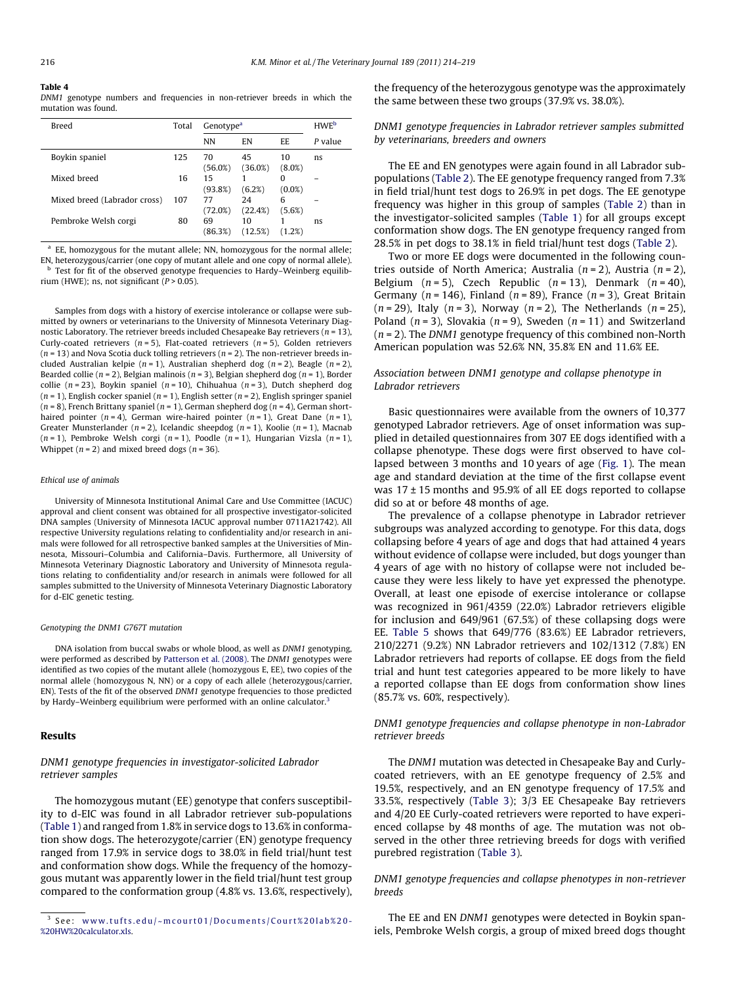#### <span id="page-2-0"></span>Table 4

DNM1 genotype numbers and frequencies in non-retriever breeds in which the mutation was found.

| <b>Breed</b>                 | Total | Genotype <sup>a</sup> |               |                 | <b>HWE</b> <sup>b</sup> |
|------------------------------|-------|-----------------------|---------------|-----------------|-------------------------|
|                              |       | <b>NN</b>             | EN            | EE.             | P value                 |
| Boykin spaniel               | 125   | 70<br>(56.0%)         | 45<br>(36.0%) | 10<br>$(8.0\%)$ | ns                      |
| Mixed breed                  | 16    | 15<br>(93.8%)         | (6.2%)        | 0<br>$(0.0\%)$  |                         |
| Mixed breed (Labrador cross) | 107   | 77<br>(72.0%)         | 24<br>(22.4%) | 6<br>(5.6%)     |                         |
| Pembroke Welsh corgi         | 80    | 69<br>(86.3%)         | 10<br>(12.5%) | (1.2%)          | ns                      |

 $a$  EE, homozygous for the mutant allele; NN, homozygous for the normal allele; EN, heterozygous/carrier (one copy of mutant allele and one copy of normal allele). Test for fit of the observed genotype frequencies to Hardy–Weinberg equilibrium (HWE); ns, not significant  $(P > 0.05)$ .

Samples from dogs with a history of exercise intolerance or collapse were submitted by owners or veterinarians to the University of Minnesota Veterinary Diagnostic Laboratory. The retriever breeds included Chesapeake Bay retrievers ( $n = 13$ ), Curly-coated retrievers ( $n = 5$ ), Flat-coated retrievers ( $n = 5$ ), Golden retrievers ( $n = 13$ ) and Nova Scotia duck tolling retrievers ( $n = 2$ ). The non-retriever breeds included Australian kelpie ( $n = 1$ ), Australian shepherd dog ( $n = 2$ ), Beagle ( $n = 2$ ), Bearded collie ( $n = 2$ ), Belgian malinois ( $n = 3$ ), Belgian shepherd dog ( $n = 1$ ), Border collie ( $n = 23$ ), Boykin spaniel ( $n = 10$ ), Chihuahua ( $n = 3$ ), Dutch shepherd dog  $(n = 1)$ , English cocker spaniel  $(n = 1)$ , English setter  $(n = 2)$ , English springer spaniel ( $n = 8$ ), French Brittany spaniel ( $n = 1$ ), German shepherd dog ( $n = 4$ ), German shorthaired pointer  $(n = 4)$ , German wire-haired pointer  $(n = 1)$ , Great Dane  $(n = 1)$ , Greater Munsterlander ( $n = 2$ ), Icelandic sheepdog ( $n = 1$ ), Koolie ( $n = 1$ ), Macnab  $(n = 1)$ , Pembroke Welsh corgi  $(n = 1)$ , Poodle  $(n = 1)$ , Hungarian Vizsla  $(n = 1)$ , Whippet  $(n = 2)$  and mixed breed dogs  $(n = 36)$ .

#### Ethical use of animals

University of Minnesota Institutional Animal Care and Use Committee (IACUC) approval and client consent was obtained for all prospective investigator-solicited DNA samples (University of Minnesota IACUC approval number 0711A21742). All respective University regulations relating to confidentiality and/or research in animals were followed for all retrospective banked samples at the Universities of Minnesota, Missouri–Columbia and California–Davis. Furthermore, all University of Minnesota Veterinary Diagnostic Laboratory and University of Minnesota regulations relating to confidentiality and/or research in animals were followed for all samples submitted to the University of Minnesota Veterinary Diagnostic Laboratory for d-EIC genetic testing.

#### Genotyping the DNM1 G767T mutation

DNA isolation from buccal swabs or whole blood, as well as DNM1 genotyping, were performed as described by [Patterson et al. \(2008\)](#page-5-0). The DNM1 genotypes were identified as two copies of the mutant allele (homozygous E, EE), two copies of the normal allele (homozygous N, NN) or a copy of each allele (heterozygous/carrier, EN). Tests of the fit of the observed DNM1 genotype frequencies to those predicted by Hardy–Weinberg equilibrium were performed with an online calculator.<sup>3</sup>

# Results

# DNM1 genotype frequencies in investigator-solicited Labrador retriever samples

The homozygous mutant (EE) genotype that confers susceptibility to d-EIC was found in all Labrador retriever sub-populations ([Table 1](#page-1-0)) and ranged from 1.8% in service dogs to 13.6% in conformation show dogs. The heterozygote/carrier (EN) genotype frequency ranged from 17.9% in service dogs to 38.0% in field trial/hunt test and conformation show dogs. While the frequency of the homozygous mutant was apparently lower in the field trial/hunt test group compared to the conformation group (4.8% vs. 13.6%, respectively), the frequency of the heterozygous genotype was the approximately the same between these two groups (37.9% vs. 38.0%).

# DNM1 genotype frequencies in Labrador retriever samples submitted by veterinarians, breeders and owners

The EE and EN genotypes were again found in all Labrador subpopulations [\(Table 2](#page-1-0)). The EE genotype frequency ranged from 7.3% in field trial/hunt test dogs to 26.9% in pet dogs. The EE genotype frequency was higher in this group of samples [\(Table 2](#page-1-0)) than in the investigator-solicited samples ([Table 1](#page-1-0)) for all groups except conformation show dogs. The EN genotype frequency ranged from 28.5% in pet dogs to 38.1% in field trial/hunt test dogs [\(Table 2](#page-1-0)).

Two or more EE dogs were documented in the following countries outside of North America; Australia ( $n = 2$ ), Austria ( $n = 2$ ), Belgium  $(n = 5)$ , Czech Republic  $(n = 13)$ , Denmark  $(n = 40)$ , Germany ( $n = 146$ ), Finland ( $n = 89$ ), France ( $n = 3$ ), Great Britain  $(n = 29)$ , Italy  $(n = 3)$ , Norway  $(n = 2)$ , The Netherlands  $(n = 25)$ , Poland ( $n = 3$ ), Slovakia ( $n = 9$ ), Sweden ( $n = 11$ ) and Switzerland  $(n = 2)$ . The DNM1 genotype frequency of this combined non-North American population was 52.6% NN, 35.8% EN and 11.6% EE.

# Association between DNM1 genotype and collapse phenotype in Labrador retrievers

Basic questionnaires were available from the owners of 10,377 genotyped Labrador retrievers. Age of onset information was supplied in detailed questionnaires from 307 EE dogs identified with a collapse phenotype. These dogs were first observed to have collapsed between 3 months and 10 years of age ([Fig. 1\)](#page-3-0). The mean age and standard deviation at the time of the first collapse event was  $17 \pm 15$  months and 95.9% of all EE dogs reported to collapse did so at or before 48 months of age.

The prevalence of a collapse phenotype in Labrador retriever subgroups was analyzed according to genotype. For this data, dogs collapsing before 4 years of age and dogs that had attained 4 years without evidence of collapse were included, but dogs younger than 4 years of age with no history of collapse were not included because they were less likely to have yet expressed the phenotype. Overall, at least one episode of exercise intolerance or collapse was recognized in 961/4359 (22.0%) Labrador retrievers eligible for inclusion and 649/961 (67.5%) of these collapsing dogs were EE. [Table 5](#page-3-0) shows that 649/776 (83.6%) EE Labrador retrievers, 210/2271 (9.2%) NN Labrador retrievers and 102/1312 (7.8%) EN Labrador retrievers had reports of collapse. EE dogs from the field trial and hunt test categories appeared to be more likely to have a reported collapse than EE dogs from conformation show lines (85.7% vs. 60%, respectively).

# DNM1 genotype frequencies and collapse phenotype in non-Labrador retriever breeds

The DNM1 mutation was detected in Chesapeake Bay and Curlycoated retrievers, with an EE genotype frequency of 2.5% and 19.5%, respectively, and an EN genotype frequency of 17.5% and 33.5%, respectively ([Table 3\)](#page-1-0); 3/3 EE Chesapeake Bay retrievers and 4/20 EE Curly-coated retrievers were reported to have experienced collapse by 48 months of age. The mutation was not observed in the other three retrieving breeds for dogs with verified purebred registration [\(Table 3](#page-1-0)).

# DNM1 genotype frequencies and collapse phenotypes in non-retriever breeds

The EE and EN DNM1 genotypes were detected in Boykin spaniels, Pembroke Welsh corgis, a group of mixed breed dogs thought

<sup>3</sup> See: [www.tufts.edu/~mcourt01/Documents/Court%20lab%20-](http://www.tufts.edu/~mcourt01/Documents/Court%20lab%20-%20HW%20calculator.xls) [%20HW%20calculator.xls.](http://www.tufts.edu/~mcourt01/Documents/Court%20lab%20-%20HW%20calculator.xls)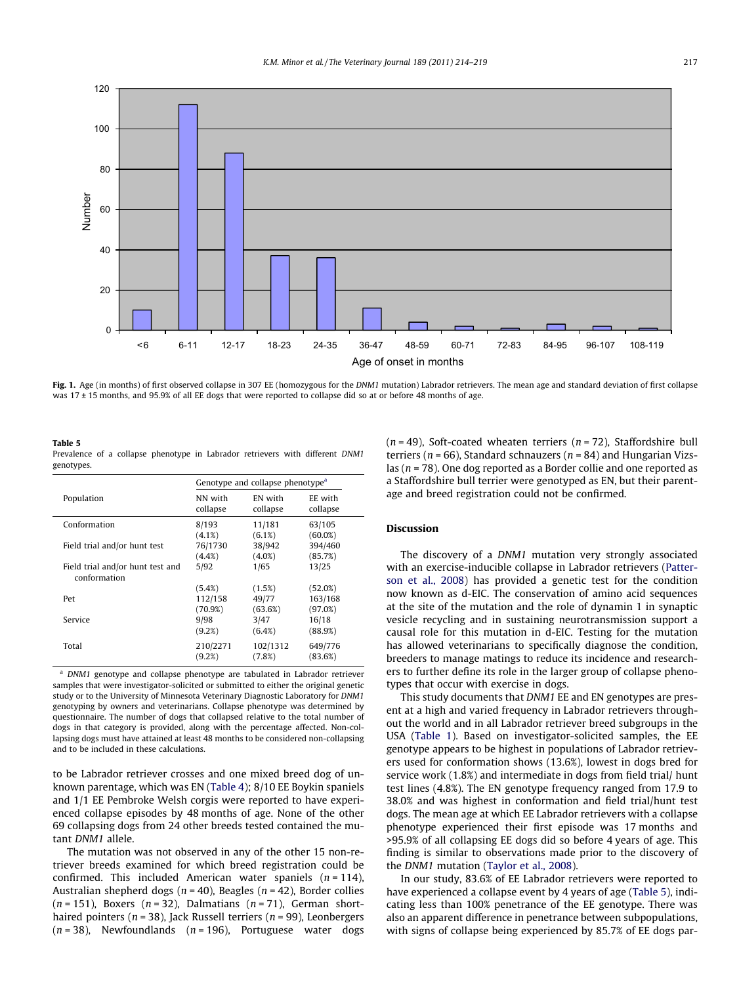<span id="page-3-0"></span>

Fig. 1. Age (in months) of first observed collapse in 307 EE (homozygous for the DNM1 mutation) Labrador retrievers. The mean age and standard deviation of first collapse was 17 ± 15 months, and 95.9% of all EE dogs that were reported to collapse did so at or before 48 months of age.

| Table 5    |  |                                                                               |  |  |  |
|------------|--|-------------------------------------------------------------------------------|--|--|--|
|            |  | Prevalence of a collapse phenotype in Labrador retrievers with different DNM1 |  |  |  |
| genotypes. |  |                                                                               |  |  |  |

|                                                  | Genotype and collapse phenotype <sup>a</sup> |           |            |  |  |  |
|--------------------------------------------------|----------------------------------------------|-----------|------------|--|--|--|
| Population                                       | NN with                                      | EN with   | EE with    |  |  |  |
|                                                  | collapse                                     | collapse  | collapse   |  |  |  |
| Conformation                                     | 8/193                                        | 11/181    | 63/105     |  |  |  |
|                                                  | (4.1%)                                       | (6.1%)    | $(60.0\%)$ |  |  |  |
| Field trial and/or hunt test                     | 76/1730                                      | 38/942    | 394/460    |  |  |  |
|                                                  | $(4.4\%)$                                    | $(4.0\%)$ | (85.7%)    |  |  |  |
| Field trial and/or hunt test and<br>conformation | 5/92                                         | 1/65      | 13/25      |  |  |  |
| Pet                                              | (5.4%)                                       | (1.5%)    | (52.0%)    |  |  |  |
|                                                  | 112/158                                      | 49/77     | 163/168    |  |  |  |
|                                                  | (70.9%)                                      | (63.6%)   | (97.0%)    |  |  |  |
| Service                                          | 9/98                                         | 3/47      | 16/18      |  |  |  |
|                                                  | (9.2%)                                       | (6.4%)    | (88.9%)    |  |  |  |
| Total                                            | 210/2271                                     | 102/1312  | 649/776    |  |  |  |
|                                                  | (9.2%)                                       | (7.8%)    | (83.6%)    |  |  |  |

<sup>a</sup> DNM1 genotype and collapse phenotype are tabulated in Labrador retriever samples that were investigator-solicited or submitted to either the original genetic study or to the University of Minnesota Veterinary Diagnostic Laboratory for DNM1 genotyping by owners and veterinarians. Collapse phenotype was determined by questionnaire. The number of dogs that collapsed relative to the total number of dogs in that category is provided, along with the percentage affected. Non-collapsing dogs must have attained at least 48 months to be considered non-collapsing and to be included in these calculations.

to be Labrador retriever crosses and one mixed breed dog of unknown parentage, which was EN ([Table 4\)](#page-2-0); 8/10 EE Boykin spaniels and 1/1 EE Pembroke Welsh corgis were reported to have experienced collapse episodes by 48 months of age. None of the other 69 collapsing dogs from 24 other breeds tested contained the mutant DNM1 allele.

The mutation was not observed in any of the other 15 non-retriever breeds examined for which breed registration could be confirmed. This included American water spaniels  $(n = 114)$ , Australian shepherd dogs ( $n = 40$ ), Beagles ( $n = 42$ ), Border collies  $(n = 151)$ , Boxers  $(n = 32)$ , Dalmatians  $(n = 71)$ , German shorthaired pointers ( $n = 38$ ), Jack Russell terriers ( $n = 99$ ), Leonbergers  $(n = 38)$ , Newfoundlands  $(n = 196)$ , Portuguese water dogs  $(n = 49)$ , Soft-coated wheaten terriers  $(n = 72)$ , Staffordshire bull terriers ( $n = 66$ ), Standard schnauzers ( $n = 84$ ) and Hungarian Vizslas ( $n = 78$ ). One dog reported as a Border collie and one reported as a Staffordshire bull terrier were genotyped as EN, but their parentage and breed registration could not be confirmed.

# Discussion

The discovery of a DNM1 mutation very strongly associated with an exercise-inducible collapse in Labrador retrievers ([Patter](#page-5-0)[son et al., 2008](#page-5-0)) has provided a genetic test for the condition now known as d-EIC. The conservation of amino acid sequences at the site of the mutation and the role of dynamin 1 in synaptic vesicle recycling and in sustaining neurotransmission support a causal role for this mutation in d-EIC. Testing for the mutation has allowed veterinarians to specifically diagnose the condition, breeders to manage matings to reduce its incidence and researchers to further define its role in the larger group of collapse phenotypes that occur with exercise in dogs.

This study documents that DNM1 EE and EN genotypes are present at a high and varied frequency in Labrador retrievers throughout the world and in all Labrador retriever breed subgroups in the USA ([Table 1](#page-1-0)). Based on investigator-solicited samples, the EE genotype appears to be highest in populations of Labrador retrievers used for conformation shows (13.6%), lowest in dogs bred for service work (1.8%) and intermediate in dogs from field trial/ hunt test lines (4.8%). The EN genotype frequency ranged from 17.9 to 38.0% and was highest in conformation and field trial/hunt test dogs. The mean age at which EE Labrador retrievers with a collapse phenotype experienced their first episode was 17 months and >95.9% of all collapsing EE dogs did so before 4 years of age. This finding is similar to observations made prior to the discovery of the DNM1 mutation ([Taylor et al., 2008](#page-5-0)).

In our study, 83.6% of EE Labrador retrievers were reported to have experienced a collapse event by 4 years of age (Table 5), indicating less than 100% penetrance of the EE genotype. There was also an apparent difference in penetrance between subpopulations, with signs of collapse being experienced by 85.7% of EE dogs par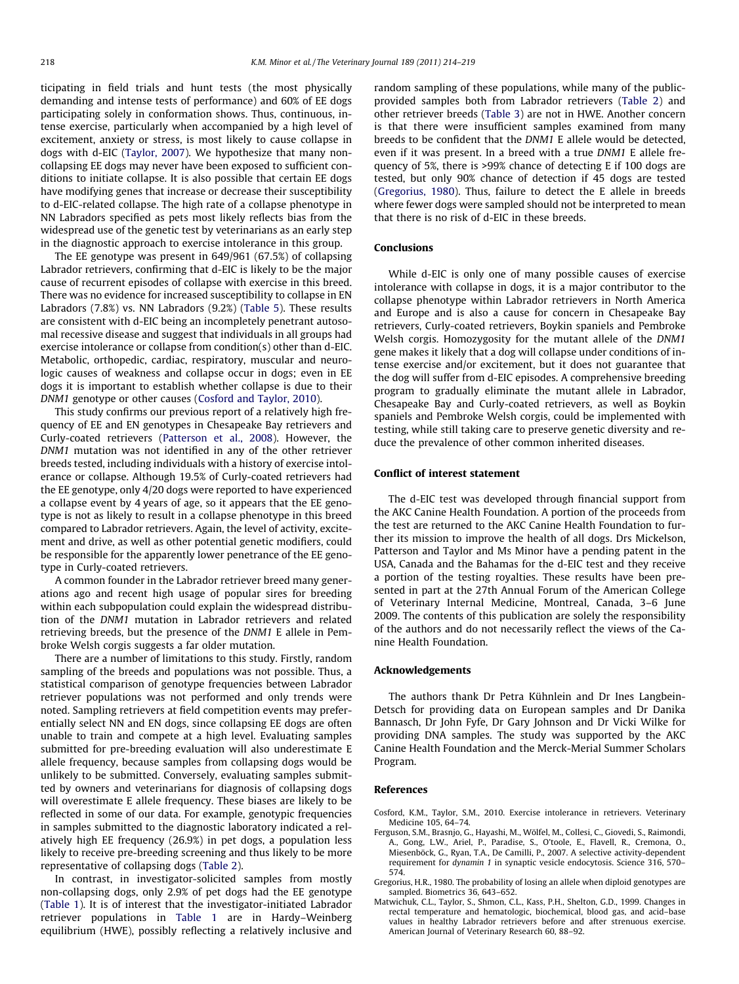<span id="page-4-0"></span>ticipating in field trials and hunt tests (the most physically demanding and intense tests of performance) and 60% of EE dogs participating solely in conformation shows. Thus, continuous, intense exercise, particularly when accompanied by a high level of excitement, anxiety or stress, is most likely to cause collapse in dogs with d-EIC [\(Taylor, 2007](#page-5-0)). We hypothesize that many noncollapsing EE dogs may never have been exposed to sufficient conditions to initiate collapse. It is also possible that certain EE dogs have modifying genes that increase or decrease their susceptibility to d-EIC-related collapse. The high rate of a collapse phenotype in NN Labradors specified as pets most likely reflects bias from the widespread use of the genetic test by veterinarians as an early step in the diagnostic approach to exercise intolerance in this group.

The EE genotype was present in 649/961 (67.5%) of collapsing Labrador retrievers, confirming that d-EIC is likely to be the major cause of recurrent episodes of collapse with exercise in this breed. There was no evidence for increased susceptibility to collapse in EN Labradors (7.8%) vs. NN Labradors (9.2%) ([Table 5](#page-3-0)). These results are consistent with d-EIC being an incompletely penetrant autosomal recessive disease and suggest that individuals in all groups had exercise intolerance or collapse from condition(s) other than d-EIC. Metabolic, orthopedic, cardiac, respiratory, muscular and neurologic causes of weakness and collapse occur in dogs; even in EE dogs it is important to establish whether collapse is due to their DNM1 genotype or other causes (Cosford and Taylor, 2010).

This study confirms our previous report of a relatively high frequency of EE and EN genotypes in Chesapeake Bay retrievers and Curly-coated retrievers [\(Patterson et al., 2008\)](#page-5-0). However, the DNM1 mutation was not identified in any of the other retriever breeds tested, including individuals with a history of exercise intolerance or collapse. Although 19.5% of Curly-coated retrievers had the EE genotype, only 4/20 dogs were reported to have experienced a collapse event by 4 years of age, so it appears that the EE genotype is not as likely to result in a collapse phenotype in this breed compared to Labrador retrievers. Again, the level of activity, excitement and drive, as well as other potential genetic modifiers, could be responsible for the apparently lower penetrance of the EE genotype in Curly-coated retrievers.

A common founder in the Labrador retriever breed many generations ago and recent high usage of popular sires for breeding within each subpopulation could explain the widespread distribution of the DNM1 mutation in Labrador retrievers and related retrieving breeds, but the presence of the DNM1 E allele in Pembroke Welsh corgis suggests a far older mutation.

There are a number of limitations to this study. Firstly, random sampling of the breeds and populations was not possible. Thus, a statistical comparison of genotype frequencies between Labrador retriever populations was not performed and only trends were noted. Sampling retrievers at field competition events may preferentially select NN and EN dogs, since collapsing EE dogs are often unable to train and compete at a high level. Evaluating samples submitted for pre-breeding evaluation will also underestimate E allele frequency, because samples from collapsing dogs would be unlikely to be submitted. Conversely, evaluating samples submitted by owners and veterinarians for diagnosis of collapsing dogs will overestimate E allele frequency. These biases are likely to be reflected in some of our data. For example, genotypic frequencies in samples submitted to the diagnostic laboratory indicated a relatively high EE frequency (26.9%) in pet dogs, a population less likely to receive pre-breeding screening and thus likely to be more representative of collapsing dogs ([Table 2](#page-1-0)).

In contrast, in investigator-solicited samples from mostly non-collapsing dogs, only 2.9% of pet dogs had the EE genotype ([Table 1](#page-1-0)). It is of interest that the investigator-initiated Labrador retriever populations in [Table 1](#page-1-0) are in Hardy–Weinberg equilibrium (HWE), possibly reflecting a relatively inclusive and

random sampling of these populations, while many of the publicprovided samples both from Labrador retrievers ([Table 2](#page-1-0)) and other retriever breeds [\(Table 3](#page-1-0)) are not in HWE. Another concern is that there were insufficient samples examined from many breeds to be confident that the DNM1 E allele would be detected, even if it was present. In a breed with a true DNM1 E allele frequency of 5%, there is >99% chance of detecting E if 100 dogs are tested, but only 90% chance of detection if 45 dogs are tested (Gregorius, 1980). Thus, failure to detect the E allele in breeds where fewer dogs were sampled should not be interpreted to mean that there is no risk of d-EIC in these breeds.

# Conclusions

While d-EIC is only one of many possible causes of exercise intolerance with collapse in dogs, it is a major contributor to the collapse phenotype within Labrador retrievers in North America and Europe and is also a cause for concern in Chesapeake Bay retrievers, Curly-coated retrievers, Boykin spaniels and Pembroke Welsh corgis. Homozygosity for the mutant allele of the DNM1 gene makes it likely that a dog will collapse under conditions of intense exercise and/or excitement, but it does not guarantee that the dog will suffer from d-EIC episodes. A comprehensive breeding program to gradually eliminate the mutant allele in Labrador, Chesapeake Bay and Curly-coated retrievers, as well as Boykin spaniels and Pembroke Welsh corgis, could be implemented with testing, while still taking care to preserve genetic diversity and reduce the prevalence of other common inherited diseases.

# Conflict of interest statement

The d-EIC test was developed through financial support from the AKC Canine Health Foundation. A portion of the proceeds from the test are returned to the AKC Canine Health Foundation to further its mission to improve the health of all dogs. Drs Mickelson, Patterson and Taylor and Ms Minor have a pending patent in the USA, Canada and the Bahamas for the d-EIC test and they receive a portion of the testing royalties. These results have been presented in part at the 27th Annual Forum of the American College of Veterinary Internal Medicine, Montreal, Canada, 3–6 June 2009. The contents of this publication are solely the responsibility of the authors and do not necessarily reflect the views of the Canine Health Foundation.

### Acknowledgements

The authors thank Dr Petra Kühnlein and Dr Ines Langbein-Detsch for providing data on European samples and Dr Danika Bannasch, Dr John Fyfe, Dr Gary Johnson and Dr Vicki Wilke for providing DNA samples. The study was supported by the AKC Canine Health Foundation and the Merck-Merial Summer Scholars Program.

# References

- Cosford, K.M., Taylor, S.M., 2010. Exercise intolerance in retrievers. Veterinary Medicine 105, 64–74.
- Ferguson, S.M., Brasnjo, G., Hayashi, M., Wölfel, M., Collesi, C., Giovedi, S., Raimondi, A., Gong, L.W., Ariel, P., Paradise, S., O'toole, E., Flavell, R., Cremona, O., Miesenböck, G., Ryan, T.A., De Camilli, P., 2007. A selective activity-dependent requirement for dynamin 1 in synaptic vesicle endocytosis. Science 316, 570– 574.
- Gregorius, H.R., 1980. The probability of losing an allele when diploid genotypes are sampled. Biometrics 36, 643–652.
- Matwichuk, C.L., Taylor, S., Shmon, C.L., Kass, P.H., Shelton, G.D., 1999. Changes in rectal temperature and hematologic, biochemical, blood gas, and acid–base values in healthy Labrador retrievers before and after strenuous exercise. American Journal of Veterinary Research 60, 88–92.